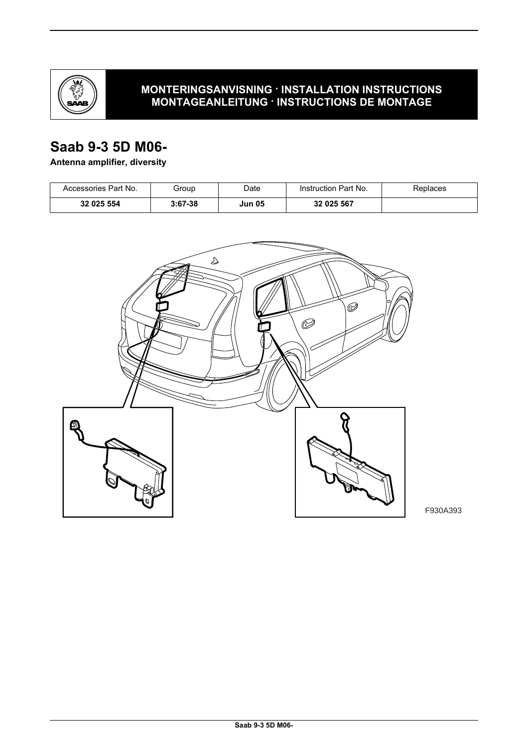

## **MONTERINGSANVISNING · INSTALLATION INSTRUCTIONS MONTAGEANLEITUNG · INSTRUCTIONS DE MONTAGE**

## **Saab 9-3 5D M06-**

## **Antenna amplifier, diversity**

| Accessories Part No. | Group     | Date          | Instruction Part No. | Replaces |
|----------------------|-----------|---------------|----------------------|----------|
| 32 025 554           | $3:67-38$ | <b>Jun 05</b> | 32 025 567           |          |



F930A393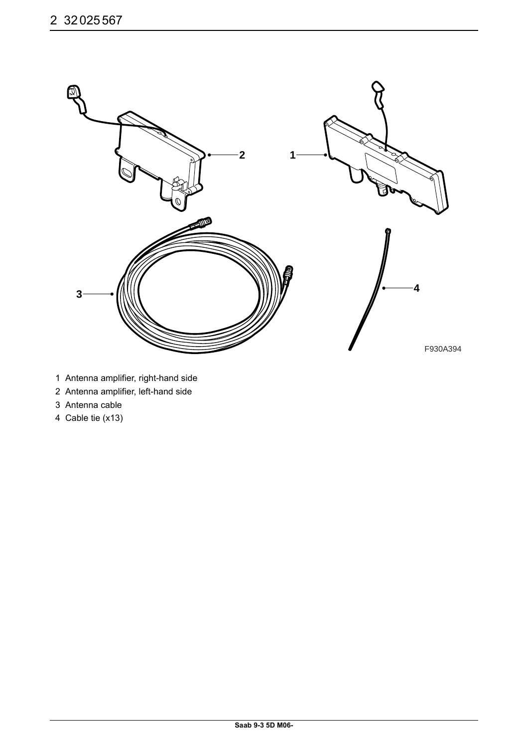

- 1 Antenna amplifier, right-hand side
- 2 Antenna amplifier, left-hand side
- 3 Antenna cable
- 4 Cable tie (x13)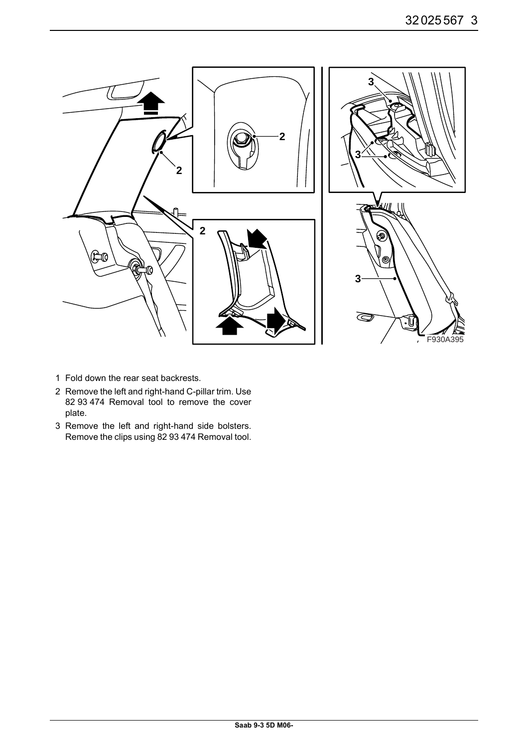

- 1 Fold down the rear seat backrests.
- 2 Remove the left and right-hand C-pillar trim. Use 82 93 474 Removal tool to remove the cover plate.
- 3 Remove the left and right-hand side bolsters. Remove the clips using 82 93 474 Removal tool.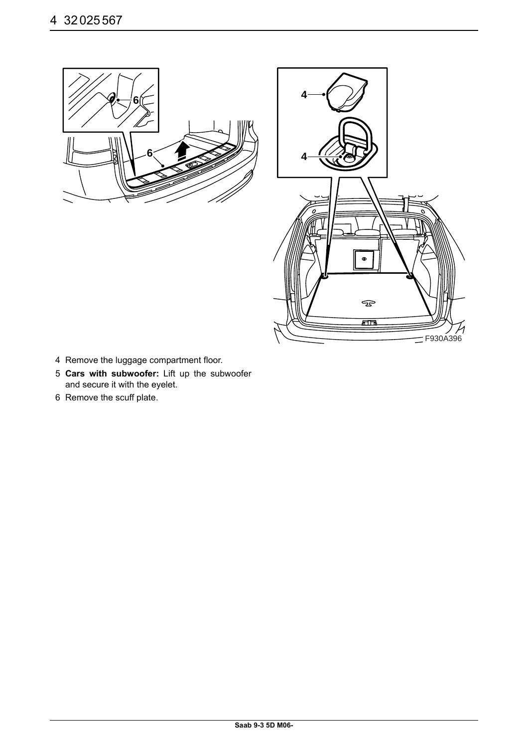



- 4 Remove the luggage compartment floor.
- 5 **Cars with subwoofer:** Lift up the subwoofer and secure it with the eyelet.
- 6 Remove the scuff plate.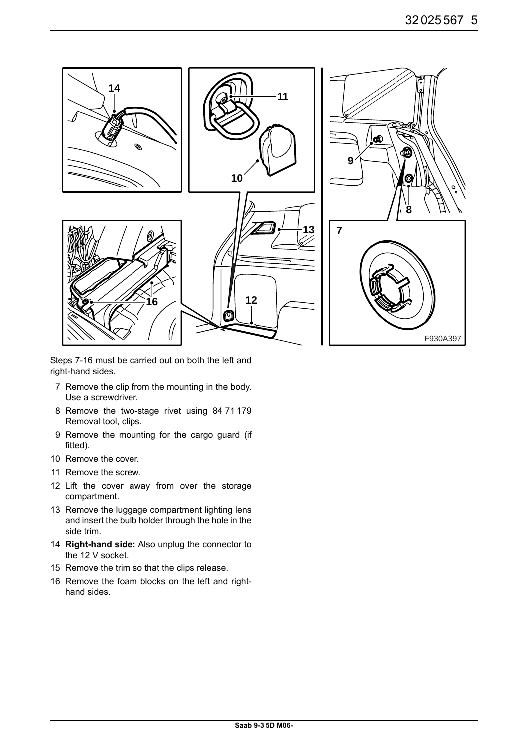

Steps 7-16 must be carried out on both the left and right-hand sides.

- 7 Remove the clip from the mounting in the body. Use a screwdriver.
- 8 Remove the two-stage rivet using 84 71 179 Removal tool, clips.
- 9 Remove the mounting for the cargo guard (if fitted).
- 10 Remove the cover.
- 11 Remove the screw.
- 12 Lift the cover away from over the storage compartment.
- 13 Remove the luggage compartment lighting lens and insert the bulb holder through the hole in the side trim.
- 14 **Right-hand side:** Also unplug the connector to the 12 V socket.
- 15 Remove the trim so that the clips release.
- 16 Remove the foam blocks on the left and righthand sides.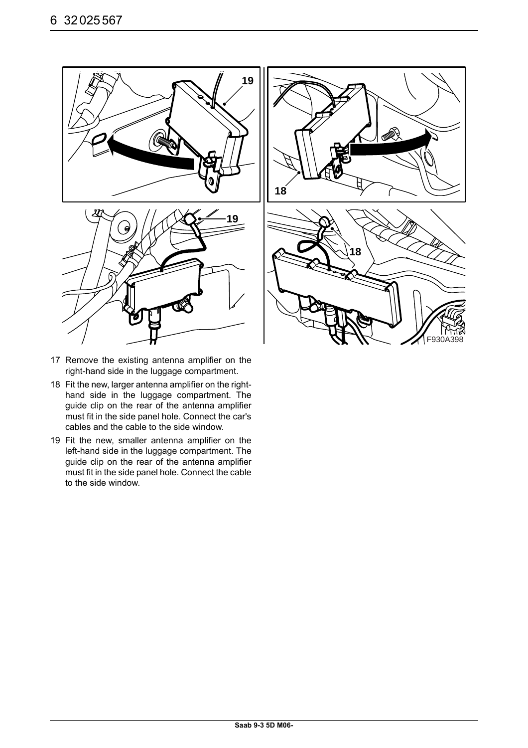



- 17 Remove the existing antenna amplifier on the right-hand side in the luggage compartment.
- 18 Fit the new, larger antenna amplifier on the righthand side in the luggage compartment. The guide clip on the rear of the antenna amplifier must fit in the side panel hole. Connect the car's cables and the cable to the side window.
- 19 Fit the new, smaller antenna amplifier on the left-hand side in the luggage compartment. The guide clip on the rear of the antenna amplifier must fit in the side panel hole. Connect the cable to the side window.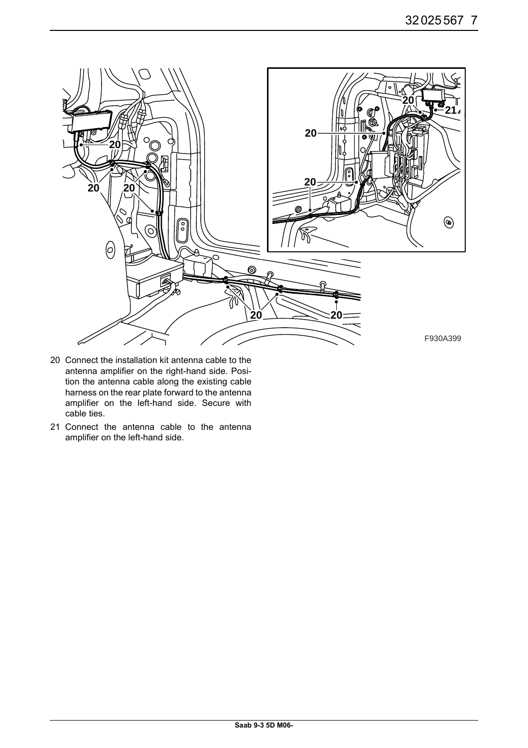

- 20 Connect the installation kit antenna cable to the antenna amplifier on the right-hand side. Position the antenna cable along the existing cable harness on the rear plate forward to the antenna amplifier on the left-hand side. Secure with cable ties.
- 21 Connect the antenna cable to the antenna amplifier on the left-hand side.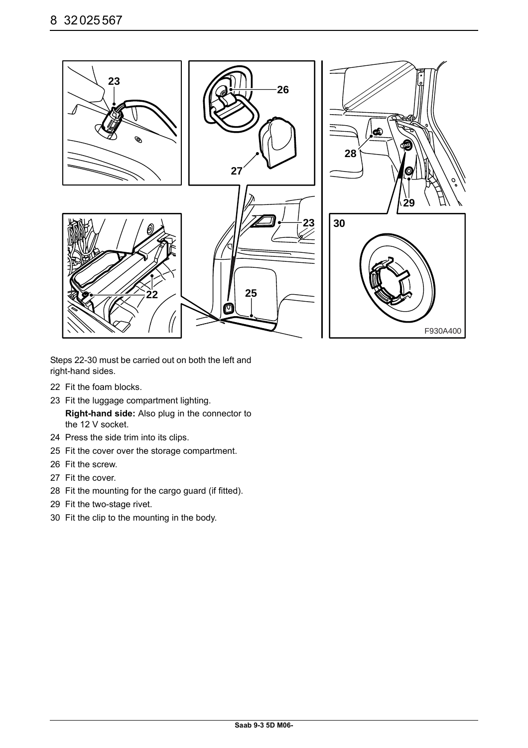

Steps 22-30 must be carried out on both the left and right-hand sides.

- 22 Fit the foam blocks.
- 23 Fit the luggage compartment lighting. **Right-hand side:** Also plug in the connector to the 12 V socket.
- 24 Press the side trim into its clips.
- 25 Fit the cover over the storage compartment.
- 26 Fit the screw.
- 27 Fit the cover.
- 28 Fit the mounting for the cargo guard (if fitted).
- 29 Fit the two-stage rivet.
- 30 Fit the clip to the mounting in the body.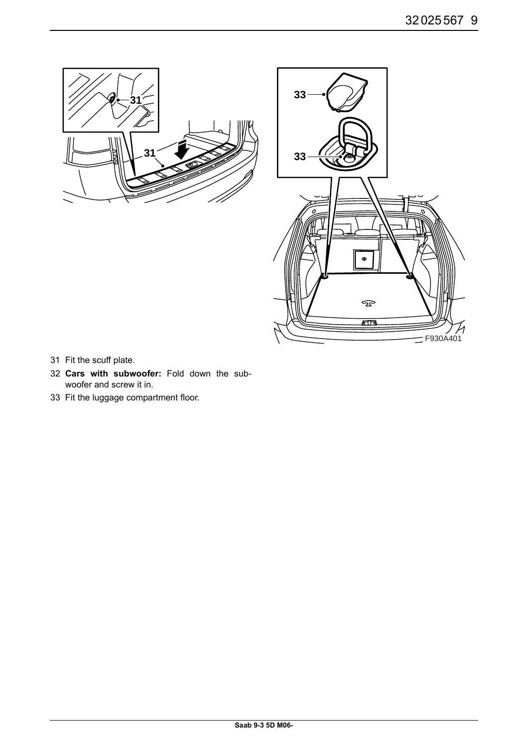



- 31 Fit the scuff plate.
- 32 **Cars with subwoofer:** Fold down the subwoofer and screw it in.
- 33 Fit the luggage compartment floor.